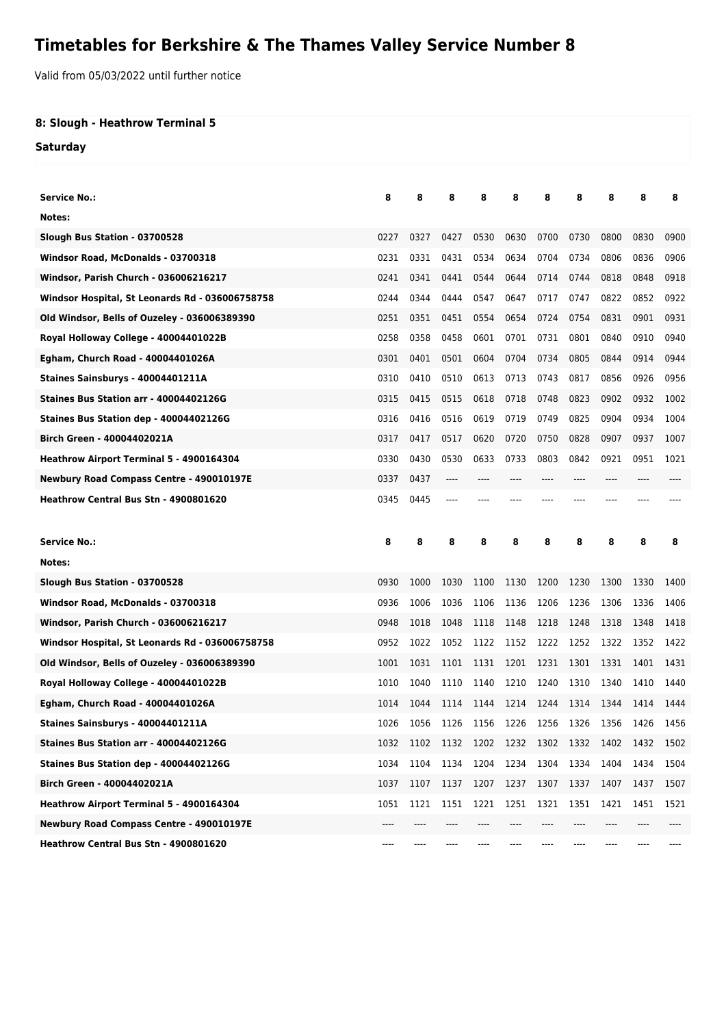## **Timetables for Berkshire & The Thames Valley Service Number 8**

Valid from 05/03/2022 until further notice

## **8: Slough - Heathrow Terminal 5**

**Saturday**

| Service No.:                                    | 8    | 8    | 8    | 8    | 8    | 8    | 8     | 8    | 8    | 8    |
|-------------------------------------------------|------|------|------|------|------|------|-------|------|------|------|
| Notes:                                          |      |      |      |      |      |      |       |      |      |      |
| Slough Bus Station - 03700528                   | 0227 | 0327 | 0427 | 0530 | 0630 | 0700 | 0730  | 0800 | 0830 | 0900 |
| Windsor Road, McDonalds - 03700318              | 0231 | 0331 | 0431 | 0534 | 0634 | 0704 | 0734  | 0806 | 0836 | 0906 |
| Windsor, Parish Church - 036006216217           | 0241 | 0341 | 0441 | 0544 | 0644 | 0714 | 0744  | 0818 | 0848 | 0918 |
| Windsor Hospital, St Leonards Rd - 036006758758 | 0244 | 0344 | 0444 | 0547 | 0647 | 0717 | 0747  | 0822 | 0852 | 0922 |
| Old Windsor, Bells of Ouzeley - 036006389390    | 0251 | 0351 | 0451 | 0554 | 0654 | 0724 | 0754  | 0831 | 0901 | 0931 |
| Royal Holloway College - 40004401022B           | 0258 | 0358 | 0458 | 0601 | 0701 | 0731 | 0801  | 0840 | 0910 | 0940 |
| Egham, Church Road - 40004401026A               | 0301 | 0401 | 0501 | 0604 | 0704 | 0734 | 0805  | 0844 | 0914 | 0944 |
| Staines Sainsburys - 40004401211A               | 0310 | 0410 | 0510 | 0613 | 0713 | 0743 | 0817  | 0856 | 0926 | 0956 |
| Staines Bus Station arr - 40004402126G          | 0315 | 0415 | 0515 | 0618 | 0718 | 0748 | 0823  | 0902 | 0932 | 1002 |
| Staines Bus Station dep - 40004402126G          | 0316 | 0416 | 0516 | 0619 | 0719 | 0749 | 0825  | 0904 | 0934 | 1004 |
| Birch Green - 40004402021A                      | 0317 | 0417 | 0517 | 0620 | 0720 | 0750 | 0828  | 0907 | 0937 | 1007 |
| Heathrow Airport Terminal 5 - 4900164304        | 0330 | 0430 | 0530 | 0633 | 0733 | 0803 | 0842  | 0921 | 0951 | 1021 |
| Newbury Road Compass Centre - 490010197E        | 0337 | 0437 | ---- |      |      |      | $---$ | ---- |      |      |
| Heathrow Central Bus Stn - 4900801620           | 0345 | 0445 |      |      |      |      |       |      |      |      |
|                                                 |      |      |      |      |      |      |       |      |      |      |
|                                                 |      |      |      |      |      |      |       |      |      |      |
| Service No.:                                    | 8    | 8    | 8    | 8    | 8    | 8    | 8     | 8    | 8    | 8    |
| Notes:                                          |      |      |      |      |      |      |       |      |      |      |
| Slough Bus Station - 03700528                   | 0930 | 1000 | 1030 | 1100 | 1130 | 1200 | 1230  | 1300 | 1330 | 1400 |
| Windsor Road, McDonalds - 03700318              | 0936 | 1006 | 1036 | 1106 | 1136 | 1206 | 1236  | 1306 | 1336 | 1406 |
| Windsor, Parish Church - 036006216217           | 0948 | 1018 | 1048 | 1118 | 1148 | 1218 | 1248  | 1318 | 1348 | 1418 |
| Windsor Hospital, St Leonards Rd - 036006758758 | 0952 | 1022 | 1052 | 1122 | 1152 | 1222 | 1252  | 1322 | 1352 | 1422 |
| Old Windsor, Bells of Ouzeley - 036006389390    | 1001 | 1031 | 1101 | 1131 | 1201 | 1231 | 1301  | 1331 | 1401 | 1431 |
| Royal Holloway College - 40004401022B           | 1010 | 1040 | 1110 | 1140 | 1210 | 1240 | 1310  | 1340 | 1410 | 1440 |
| Egham, Church Road - 40004401026A               | 1014 | 1044 | 1114 | 1144 | 1214 | 1244 | 1314  | 1344 | 1414 | 1444 |
| Staines Sainsburys - 40004401211A               | 1026 | 1056 | 1126 | 1156 | 1226 | 1256 | 1326  | 1356 | 1426 | 1456 |
| Staines Bus Station arr - 40004402126G          | 1032 | 1102 | 1132 | 1202 | 1232 | 1302 | 1332  | 1402 | 1432 | 1502 |
| Staines Bus Station dep - 40004402126G          | 1034 | 1104 | 1134 | 1204 | 1234 | 1304 | 1334  | 1404 | 1434 | 1504 |
| Birch Green - 40004402021A                      | 1037 | 1107 | 1137 | 1207 | 1237 | 1307 | 1337  | 1407 | 1437 | 1507 |
| <b>Heathrow Airport Terminal 5 - 4900164304</b> | 1051 | 1121 | 1151 | 1221 | 1251 | 1321 | 1351  | 1421 | 1451 | 1521 |
| <b>Newbury Road Compass Centre - 490010197E</b> | ---- |      |      |      |      |      |       |      |      |      |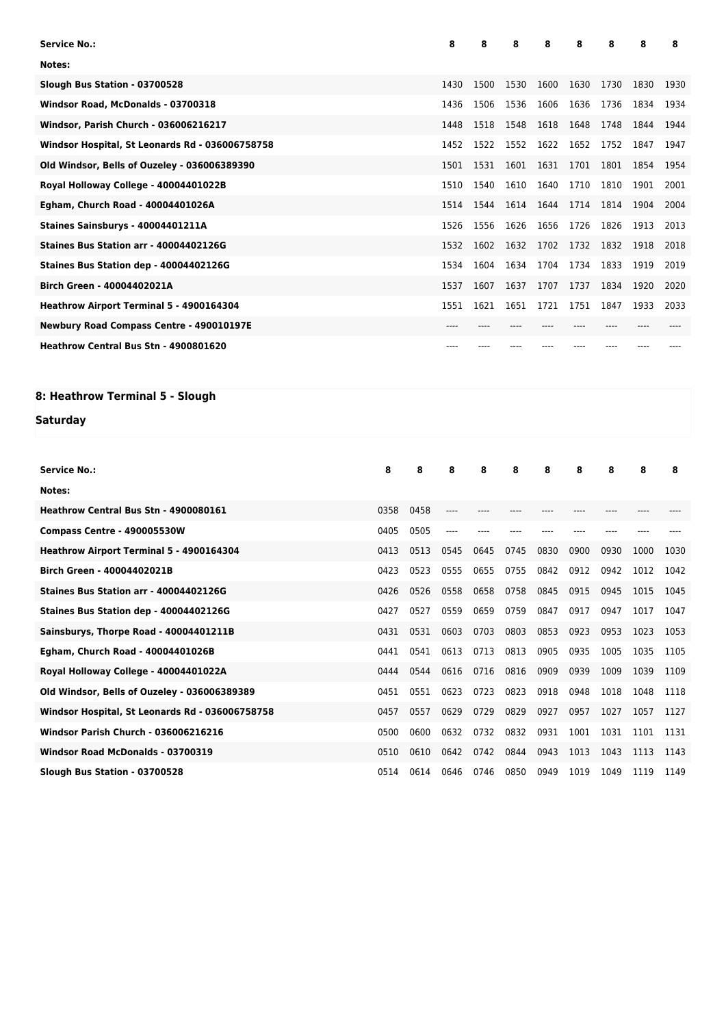| <b>Service No.:</b>                             |      |      | 8     | 8    | 8         | 8     | 8    | 8     | 8    | 8    |
|-------------------------------------------------|------|------|-------|------|-----------|-------|------|-------|------|------|
| Notes:                                          |      |      |       |      |           |       |      |       |      |      |
| Slough Bus Station - 03700528                   |      |      | 1430  | 1500 | 1530      | 1600  | 1630 | 1730  | 1830 | 1930 |
| Windsor Road, McDonalds - 03700318              |      |      | 1436  | 1506 | 1536      | 1606  | 1636 | 1736  | 1834 | 1934 |
| <b>Windsor, Parish Church - 036006216217</b>    |      |      | 1448  | 1518 | 1548      | 1618  | 1648 | 1748  | 1844 | 1944 |
| Windsor Hospital, St Leonards Rd - 036006758758 |      |      | 1452  | 1522 | 1552      | 1622  | 1652 | 1752  | 1847 | 1947 |
| Old Windsor, Bells of Ouzeley - 036006389390    |      |      | 1501  | 1531 | 1601      | 1631  | 1701 | 1801  | 1854 | 1954 |
| Royal Holloway College - 40004401022B           |      |      | 1510  | 1540 | 1610      | 1640  | 1710 | 1810  | 1901 | 2001 |
| Egham, Church Road - 40004401026A               |      |      | 1514  | 1544 | 1614      | 1644  | 1714 | 1814  | 1904 | 2004 |
| Staines Sainsburys - 40004401211A               |      |      | 1526  | 1556 | 1626      | 1656  | 1726 | 1826  | 1913 | 2013 |
| Staines Bus Station arr - 40004402126G          |      |      | 1532  | 1602 | 1632      | 1702  | 1732 | 1832  | 1918 | 2018 |
| Staines Bus Station dep - 40004402126G          |      |      | 1534  | 1604 | 1634      | 1704  | 1734 | 1833  | 1919 | 2019 |
| Birch Green - 40004402021A                      |      |      | 1537  | 1607 | 1637      | 1707  | 1737 | 1834  | 1920 | 2020 |
| Heathrow Airport Terminal 5 - 4900164304        |      |      | 1551  | 1621 | 1651      | 1721  | 1751 | 1847  | 1933 | 2033 |
| Newbury Road Compass Centre - 490010197E        |      |      | $---$ |      |           | $---$ | ---- | $---$ | ---- |      |
| Heathrow Central Bus Stn - 4900801620           |      |      |       |      |           |       |      |       |      |      |
|                                                 |      |      |       |      |           |       |      |       |      |      |
| 8: Heathrow Terminal 5 - Slough                 |      |      |       |      |           |       |      |       |      |      |
| Saturday                                        |      |      |       |      |           |       |      |       |      |      |
|                                                 |      |      |       |      |           |       |      |       |      |      |
| <b>Service No.:</b>                             | 8    | 8    | 8     | 8    | 8         | 8     | 8    | 8     | 8    | 8    |
| Notes:                                          |      |      |       |      |           |       |      |       |      |      |
| Heathrow Central Bus Stn - 4900080161           | 0358 | 0458 | ----  |      |           |       |      |       |      |      |
| Compass Centre - 490005530W                     | 0405 | 0505 | ----  |      |           |       | ---- | ----  |      |      |
| Heathrow Airport Terminal 5 - 4900164304        | 0413 | 0513 | 0545  | 0645 | 0745      | 0830  | 0900 | 0930  | 1000 | 1030 |
| <b>Birch Green - 40004402021B</b>               | 0423 | 0523 | 0555  | 0655 | 0755      | 0842  | 0912 | 0942  | 1012 | 1042 |
| Staines Bus Station arr - 40004402126G          | 0426 | 0526 | 0558  | 0658 | 0758      | 0845  | 0915 | 0945  | 1015 | 1045 |
| Staines Bus Station dep - 40004402126G          | 0427 | 0527 | 0559  | 0659 | 0759      | 0847  | 0917 | 0947  | 1017 | 1047 |
| Sainsburys, Thorpe Road - 40004401211B          | 0431 | 0531 | 0603  | 0703 | 0803      | 0853  | 0923 | 0953  | 1023 | 1053 |
| Egham, Church Road - 40004401026B               | 0441 | 0541 | 0613  | 0713 | 0813      | 0905  | 0935 | 1005  | 1035 | 1105 |
| Royal Holloway College - 40004401022A           |      |      |       |      |           |       |      |       |      |      |
|                                                 | 0444 | 0544 | 0616  | 0716 | 0816      | 0909  | 0939 | 1009  | 1039 | 1109 |
| Old Windsor, Bells of Ouzeley - 036006389389    | 0451 | 0551 | 0623  |      | 0723 0823 | 0918  | 0948 | 1018  | 1048 | 1118 |

Windsor Hospital, St Leonards Rd - 036006758758 0557 0457 0557 0629 0729 0829 0927 0957 1027 1057 1127 **Windsor Parish Church - 036006216216** 0500 0500 0500 0600 0632 0732 0832 0931 1001 1031 1101 1131 **Windsor Road McDonalds - 03700319** 0510 0610 0642 0742 0844 0943 1013 1043 1113 1143 **Slough Bus Station - 03700528** 0514 0614 0646 0746 0850 0949 1019 1049 1119 1149